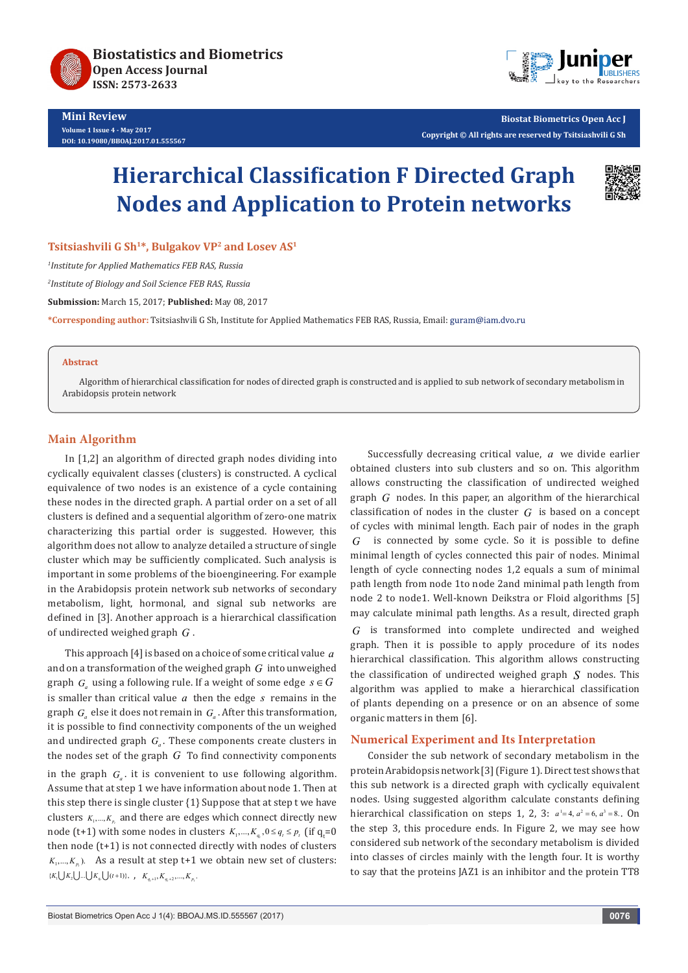



**Biostat Biometrics Open Acc J Copyright © All rights are reserved by Tsitsiashvili G Sh** 

# **Hierarchical Classification F Directed Graph Nodes and Application to Protein networks**



Tsitsiashvili G Sh<sup>1\*</sup>, Bulgakov VP<sup>2</sup> and Losev AS<sup>1</sup>

*1 Institute for Applied Mathematics FEB RAS, Russia*

*2 Institute of Biology and Soil Science FEB RAS, Russia*

**Submission:** March 15, 2017; **Published:** May 08, 2017

**\*Corresponding author:** Tsitsiashvili G Sh, Institute for Applied Mathematics FEB RAS, Russia, Email:

#### **Abstract**

Algorithm of hierarchical classification for nodes of directed graph is constructed and is applied to sub network of secondary metabolism in Arabidopsis protein network

#### **Main Algorithm**

In [1,2] an algorithm of directed graph nodes dividing into cyclically equivalent classes (clusters) is constructed. A cyclical equivalence of two nodes is an existence of a cycle containing these nodes in the directed graph. A partial order on a set of all clusters is defined and a sequential algorithm of zero-one matrix characterizing this partial order is suggested. However, this algorithm does not allow to analyze detailed a structure of single cluster which may be sufficiently complicated. Such analysis is important in some problems of the bioengineering. For example in the Arabidopsis protein network sub networks of secondary metabolism, light, hormonal, and signal sub networks are defined in [3]. Another approach is a hierarchical classification of undirected weighed graph *G* .

This approach [4] is based on a choice of some critical value *a* and on a transformation of the weighed graph *G* into unweighed graph  $G_a$  using a following rule. If a weight of some edge  $s \in G$ is smaller than critical value *a* then the edge *s* remains in the graph  $G_a$  else it does not remain in  $G_a$ . After this transformation, it is possible to find connectivity components of the un weighed and undirected graph  $G_a$ . These components create clusters in the nodes set of the graph *G* To find connectivity components in the graph  $G_a$ . it is convenient to use following algorithm. Assume that at step 1 we have information about node 1. Then at this step there is single cluster {1} Suppose that at step t we have clusters  $K_1, \ldots, K_n$  and there are edges which connect directly new node (t+1) with some nodes in clusters  $K_1, ..., K_q$ ,  $0 \le q_t \le p_t$  (if  $q_t = 0$ ) then node (t+1) is not connected directly with nodes of clusters  $K_1, \ldots, K_n$ ). As a result at step t+1 we obtain new set of clusters:  $\{K_1 \bigcup K_2 \bigcup ... \bigcup K_{q_i} \bigcup (t+1)\}, \quad K_{q_i+1}, K_{q_i+2}, ..., K_{p_i}.$ 

Successfully decreasing critical value, *a* we divide earlier obtained clusters into sub clusters and so on. This algorithm allows constructing the classification of undirected weighed graph *G* nodes. In this paper, an algorithm of the hierarchical classification of nodes in the cluster *G* is based on a concept of cycles with minimal length. Each pair of nodes in the graph *G* is connected by some cycle. So it is possible to define minimal length of cycles connected this pair of nodes. Minimal length of cycle connecting nodes 1,2 equals a sum of minimal path length from node 1to node 2and minimal path length from node 2 to node1. Well-known Deikstra or Floid algorithms [5] may calculate minimal path lengths. As a result, directed graph *G* is transformed into complete undirected and weighed graph. Then it is possible to apply procedure of its nodes hierarchical classification. This algorithm allows constructing the classification of undirected weighed graph *S* nodes. This algorithm was applied to make a hierarchical classification of plants depending on a presence or on an absence of some organic matters in them [6].

### **Numerical Experiment and Its Interpretation**

Consider the sub network of secondary metabolism in the protein Arabidopsis network [3] (Figure 1). Direct test shows that this sub network is a directed graph with cyclically equivalent nodes. Using suggested algorithm calculate constants defining hierarchical classification on steps 1, 2, 3:  $a^1 = 4$ ,  $a^2 = 6$ ,  $a^3 = 8$ . On the step 3, this procedure ends. In Figure 2, we may see how considered sub network of the secondary metabolism is divided into classes of circles mainly with the length four. It is worthy to say that the proteins JAZ1 is an inhibitor and the protein TT8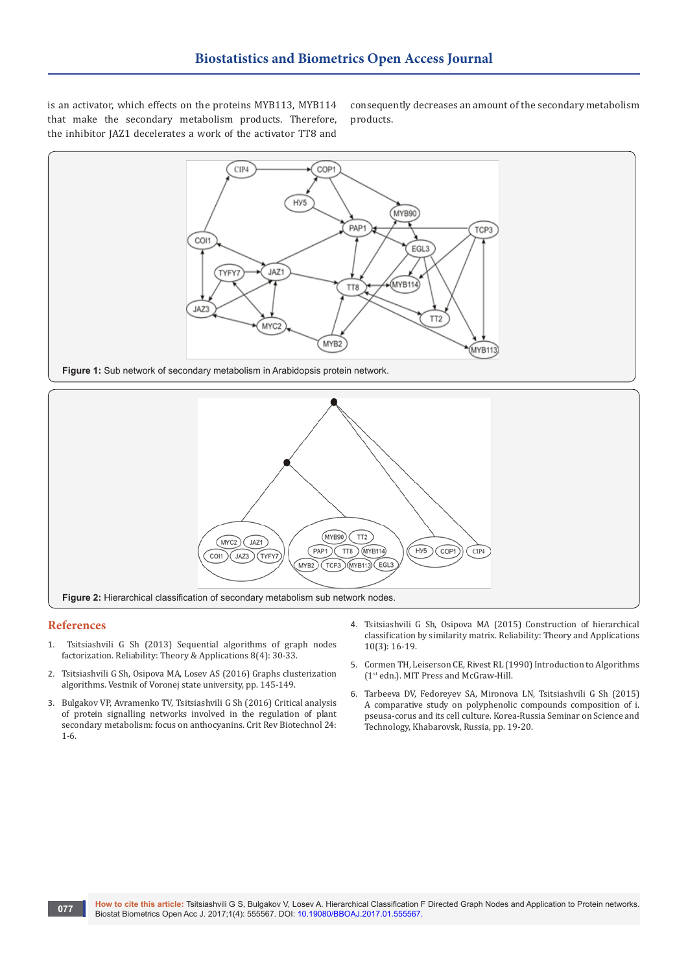is an activator, which effects on the proteins MYB113, MYB114 that make the secondary metabolism products. Therefore, the inhibitor JAZ1 decelerates a work of the activator TT8 and

consequently decreases an amount of the secondary metabolism products.





#### **References**

- 1. Tsitsiashvili G Sh (2013) Sequential algorithms of graph nodes factorization. Reliability: Theory & Applications 8(4): 30-33.
- 2. Tsitsiashvili G Sh, Osipova MA, Losev AS (2016) Graphs clusterization algorithms. Vestnik of Voronej state university, pp. 145-149.
- 3. [Bulgakov VP, Avramenko TV, Tsitsiashvili G Sh \(2016\) Critical analysis](https://www.ncbi.nlm.nih.gov/pubmed/26912350)  [of protein signalling networks involved in the regulation of plant](https://www.ncbi.nlm.nih.gov/pubmed/26912350)  [secondary metabolism: focus on anthocyanins. Crit Rev Biotechnol 24:](https://www.ncbi.nlm.nih.gov/pubmed/26912350)  [1-6.](https://www.ncbi.nlm.nih.gov/pubmed/26912350)
- 4. Tsitsiashvili G Sh, Osipova MA (2015) Construction of hierarchical classification by similarity matrix. Reliability: Theory and Applications 10(3): 16-19.
- 5. Cormen TH, Leiserson CE, Rivest RL (1990) Introduction to Algorithms (1st edn.). MIT Press and McGraw-Hill.
- 6. Tarbeeva DV, Fedoreyev SA, Mironova LN, Tsitsiashvili G Sh (2015) A comparative study on polyphenolic compounds composition of i. pseusa-corus and its cell culture. Korea-Russia Seminar on Science and Technology, Khabarovsk, Russia, pp. 19-20.